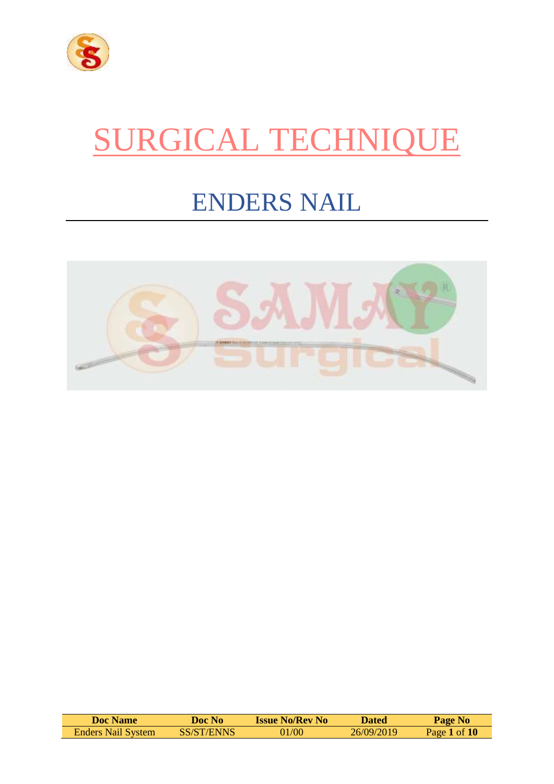

# SURGICAL TECHNIQUE

# ENDERS NAIL



| <b>Doc Name</b>           | <b>Doc No</b> | <b>Issue No/Rev No</b> | <b>Dated</b> | Page No        |
|---------------------------|---------------|------------------------|--------------|----------------|
| <b>Enders Nail System</b> | SS/ST/ENNS    | 01/00                  | 26/09/2019   | Page 1 of $10$ |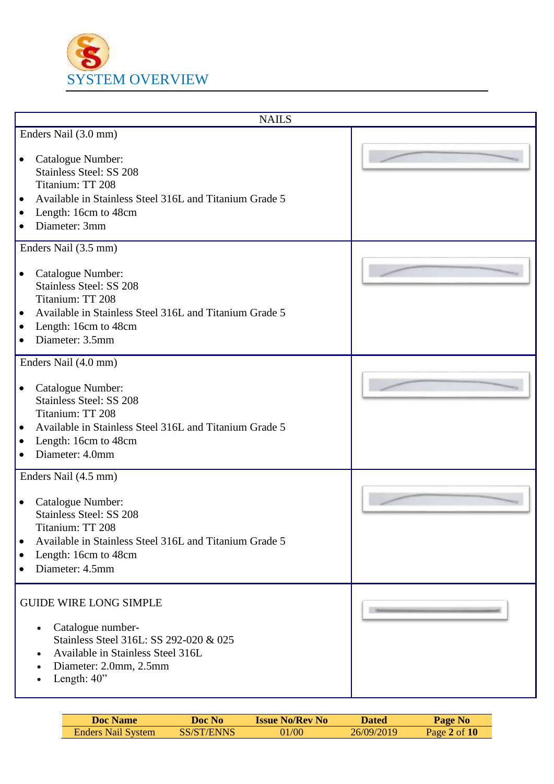

| <b>NAILS</b>                                                                                                                                                                                                                     |  |
|----------------------------------------------------------------------------------------------------------------------------------------------------------------------------------------------------------------------------------|--|
| Enders Nail (3.0 mm)                                                                                                                                                                                                             |  |
| Catalogue Number:<br>$\bullet$<br><b>Stainless Steel: SS 208</b><br>Titanium: TT 208<br>Available in Stainless Steel 316L and Titanium Grade 5<br>$\bullet$<br>Length: 16cm to 48cm<br>$\bullet$<br>Diameter: 3mm<br>$\bullet$   |  |
| Enders Nail (3.5 mm)                                                                                                                                                                                                             |  |
| Catalogue Number:<br>$\bullet$<br><b>Stainless Steel: SS 208</b><br>Titanium: TT 208<br>Available in Stainless Steel 316L and Titanium Grade 5<br>Length: 16cm to 48cm<br>$\bullet$<br>Diameter: 3.5mm                           |  |
| Enders Nail (4.0 mm)                                                                                                                                                                                                             |  |
| Catalogue Number:<br>$\bullet$<br><b>Stainless Steel: SS 208</b><br>Titanium: TT 208<br>Available in Stainless Steel 316L and Titanium Grade 5<br>$\bullet$<br>Length: 16cm to 48cm<br>$\bullet$<br>Diameter: 4.0mm<br>$\bullet$ |  |
| Enders Nail (4.5 mm)                                                                                                                                                                                                             |  |
| Catalogue Number:<br><b>Stainless Steel: SS 208</b><br>Titanium: TT 208<br>Available in Stainless Steel 316L and Titanium Grade 5<br>$\bullet$<br>Length: 16cm to 48cm<br>$\bullet$<br>Diameter: 4.5mm<br>$\bullet$              |  |
| <b>GUIDE WIRE LONG SIMPLE</b><br>Catalogue number-<br>$\bullet$<br>Stainless Steel 316L: SS 292-020 & 025<br>Available in Stainless Steel 316L<br>$\bullet$<br>Diameter: 2.0mm, 2.5mm<br>$\bullet$<br>Length: 40"<br>$\bullet$   |  |

| <b>Doc Name</b>    | Doc No-    | <b>Issue No/Rev No</b> | Dated      | <b>Page No</b>   |
|--------------------|------------|------------------------|------------|------------------|
| Enders Nail System | SS/ST/ENNS | 01/00                  | 26/09/2019 | Page $2$ of $10$ |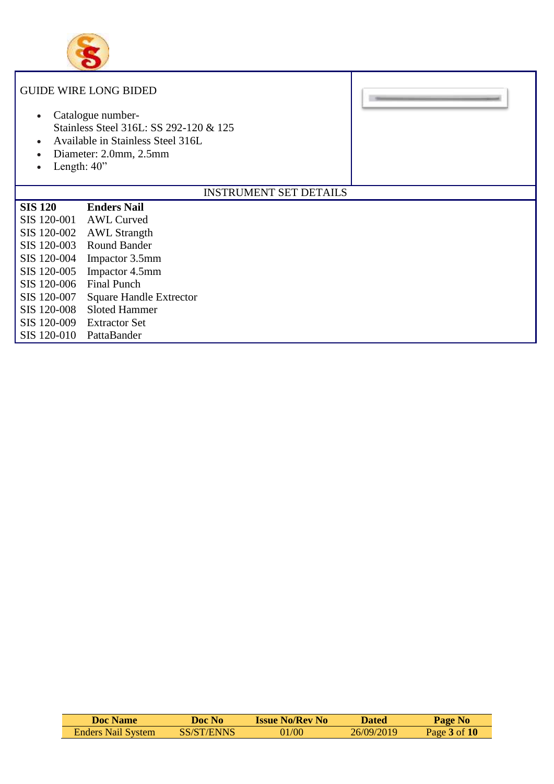

| $\bullet$<br>$\bullet$<br>Length: $40$ "<br>$\bullet$                                                                                                                | <b>GUIDE WIRE LONG BIDED</b><br>Catalogue number-<br>Stainless Steel 316L: SS 292-120 & 125<br>Available in Stainless Steel 316L<br>Diameter: 2.0mm, 2.5mm                                                                                       |                               |  |
|----------------------------------------------------------------------------------------------------------------------------------------------------------------------|--------------------------------------------------------------------------------------------------------------------------------------------------------------------------------------------------------------------------------------------------|-------------------------------|--|
|                                                                                                                                                                      |                                                                                                                                                                                                                                                  | <b>INSTRUMENT SET DETAILS</b> |  |
| <b>SIS 120</b><br>SIS 120-001<br>SIS 120-002<br>SIS 120-003<br>SIS 120-004<br>SIS 120-005<br>SIS 120-006<br>SIS 120-007<br>SIS 120-008<br>SIS 120-009<br>SIS 120-010 | <b>Enders Nail</b><br><b>AWL Curved</b><br><b>AWL Strangth</b><br><b>Round Bander</b><br>Impactor 3.5mm<br>Impactor 4.5mm<br><b>Final Punch</b><br><b>Square Handle Extrector</b><br><b>Sloted Hammer</b><br><b>Extractor Set</b><br>PattaBander |                               |  |

| Doc Name                  | Doc No-    | <b>Issue No/Rev No</b> | <b>Dated</b> | Page No          |
|---------------------------|------------|------------------------|--------------|------------------|
| <b>Enders Nail System</b> | SS/ST/ENNS | 01/00                  | 26/09/2019   | Page $3$ of $10$ |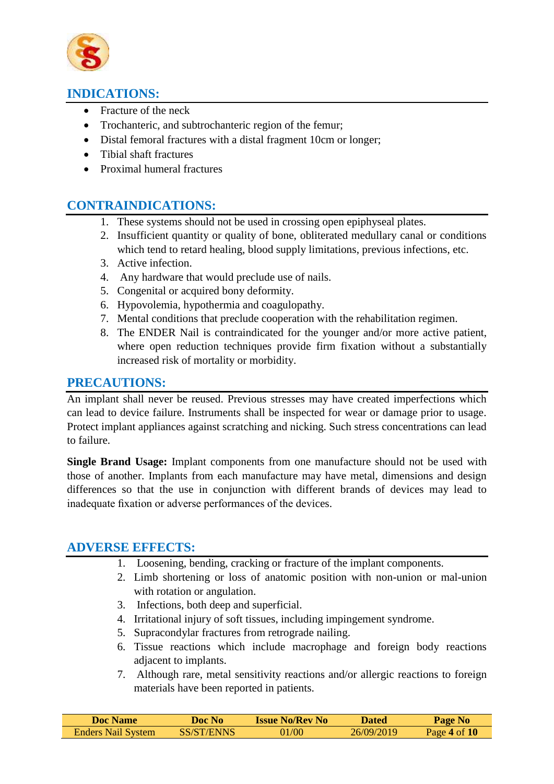

# **INDICATIONS:**

- Fracture of the neck
- Trochanteric, and subtrochanteric region of the femur;
- Distal femoral fractures with a distal fragment 10cm or longer;
- Tibial shaft fractures
- Proximal humeral fractures

# **CONTRAINDICATIONS:**

- 1. These systems should not be used in crossing open epiphyseal plates.
- 2. Insufficient quantity or quality of bone, obliterated medullary canal or conditions which tend to retard healing, blood supply limitations, previous infections, etc.
- 3. Active infection.
- 4. Any hardware that would preclude use of nails.
- 5. Congenital or acquired bony deformity.
- 6. Hypovolemia, hypothermia and coagulopathy.
- 7. Mental conditions that preclude cooperation with the rehabilitation regimen.
- 8. The ENDER Nail is contraindicated for the younger and/or more active patient, where open reduction techniques provide firm fixation without a substantially increased risk of mortality or morbidity.

# **PRECAUTIONS:**

An implant shall never be reused. Previous stresses may have created imperfections which can lead to device failure. Instruments shall be inspected for wear or damage prior to usage. Protect implant appliances against scratching and nicking. Such stress concentrations can lead to failure.

**Single Brand Usage:** Implant components from one manufacture should not be used with those of another. Implants from each manufacture may have metal, dimensions and design differences so that the use in conjunction with different brands of devices may lead to inadequate fixation or adverse performances of the devices.

# **ADVERSE EFFECTS:**

- 1. Loosening, bending, cracking or fracture of the implant components.
- 2. Limb shortening or loss of anatomic position with non-union or mal-union with rotation or angulation.
- 3. Infections, both deep and superficial.
- 4. Irritational injury of soft tissues, including impingement syndrome.
- 5. Supracondylar fractures from retrograde nailing.
- 6. Tissue reactions which include macrophage and foreign body reactions adjacent to implants.
- 7. Although rare, metal sensitivity reactions and/or allergic reactions to foreign materials have been reported in patients.

| <b>Doc Name</b>    | Doc No     | <b>Issue No/Rev No.</b> | Dated      | <b>Page No</b> |
|--------------------|------------|-------------------------|------------|----------------|
| Enders Nail System | SS/ST/ENNS | 01/00                   | 26/09/2019 | Page 4 of $10$ |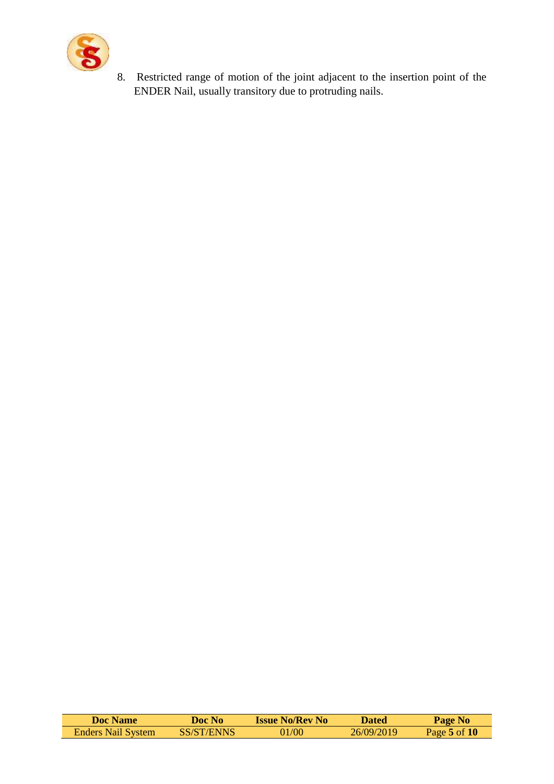

8. Restricted range of motion of the joint adjacent to the insertion point of the ENDER Nail, usually transitory due to protruding nails.

| <b>Doc Name</b>           | Doc No     | <b>Issue No/Rev No</b> | Dated       | Page No          |
|---------------------------|------------|------------------------|-------------|------------------|
| <b>Enders Nail System</b> | SS/ST/ENNS | 01/00                  | 26/09/2019. | Page $5$ of $10$ |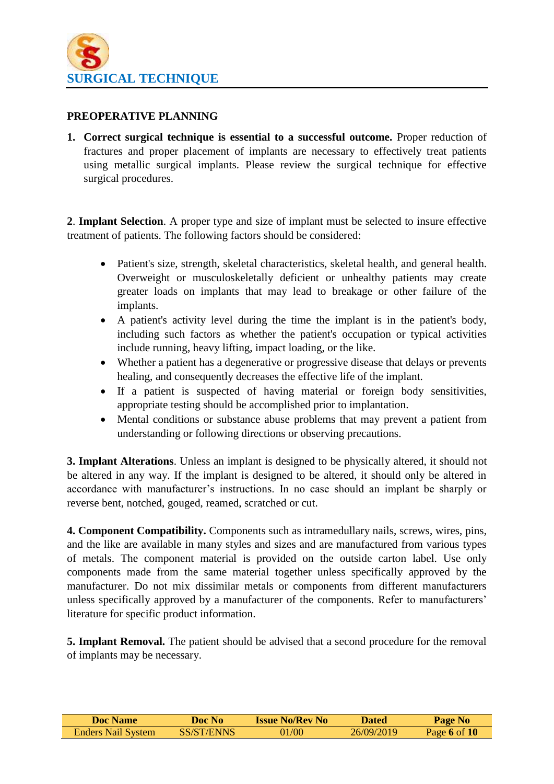

#### **PREOPERATIVE PLANNING**

**1. Correct surgical technique is essential to a successful outcome.** Proper reduction of fractures and proper placement of implants are necessary to effectively treat patients using metallic surgical implants. Please review the surgical technique for effective surgical procedures.

**2**. **Implant Selection**. A proper type and size of implant must be selected to insure effective treatment of patients. The following factors should be considered:

- Patient's size, strength, skeletal characteristics, skeletal health, and general health. Overweight or musculoskeletally deficient or unhealthy patients may create greater loads on implants that may lead to breakage or other failure of the implants.
- A patient's activity level during the time the implant is in the patient's body, including such factors as whether the patient's occupation or typical activities include running, heavy lifting, impact loading, or the like.
- Whether a patient has a degenerative or progressive disease that delays or prevents healing, and consequently decreases the effective life of the implant.
- If a patient is suspected of having material or foreign body sensitivities, appropriate testing should be accomplished prior to implantation.
- Mental conditions or substance abuse problems that may prevent a patient from understanding or following directions or observing precautions.

**3. Implant Alterations**. Unless an implant is designed to be physically altered, it should not be altered in any way. If the implant is designed to be altered, it should only be altered in accordance with manufacturer's instructions. In no case should an implant be sharply or reverse bent, notched, gouged, reamed, scratched or cut.

**4. Component Compatibility.** Components such as intramedullary nails, screws, wires, pins, and the like are available in many styles and sizes and are manufactured from various types of metals. The component material is provided on the outside carton label. Use only components made from the same material together unless specifically approved by the manufacturer. Do not mix dissimilar metals or components from different manufacturers unless specifically approved by a manufacturer of the components. Refer to manufacturers' literature for specific product information.

**5. Implant Removal.** The patient should be advised that a second procedure for the removal of implants may be necessary.

| <b>Doc Name</b>           | Doc No     | <b>Issue No/Rev No</b> | <b>Dated</b> | <b>Page No</b> |
|---------------------------|------------|------------------------|--------------|----------------|
| <b>Enders Nail System</b> | SS/ST/ENNS | 01/00                  | 26/09/2019   | Page 6 of $10$ |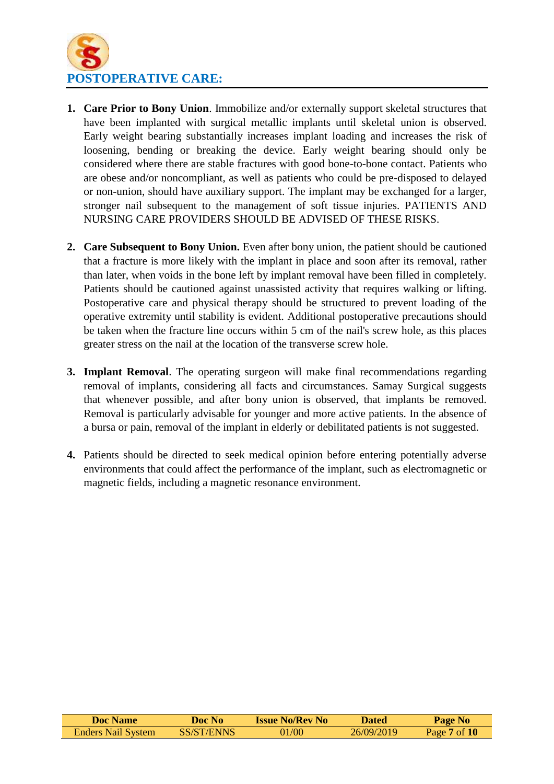

- **1. Care Prior to Bony Union**. Immobilize and/or externally support skeletal structures that have been implanted with surgical metallic implants until skeletal union is observed. Early weight bearing substantially increases implant loading and increases the risk of loosening, bending or breaking the device. Early weight bearing should only be considered where there are stable fractures with good bone-to-bone contact. Patients who are obese and/or noncompliant, as well as patients who could be pre-disposed to delayed or non-union, should have auxiliary support. The implant may be exchanged for a larger, stronger nail subsequent to the management of soft tissue injuries. PATIENTS AND NURSING CARE PROVIDERS SHOULD BE ADVISED OF THESE RISKS.
- **2. Care Subsequent to Bony Union.** Even after bony union, the patient should be cautioned that a fracture is more likely with the implant in place and soon after its removal, rather than later, when voids in the bone left by implant removal have been filled in completely. Patients should be cautioned against unassisted activity that requires walking or lifting. Postoperative care and physical therapy should be structured to prevent loading of the operative extremity until stability is evident. Additional postoperative precautions should be taken when the fracture line occurs within 5 cm of the nail's screw hole, as this places greater stress on the nail at the location of the transverse screw hole.
- **3. Implant Removal**. The operating surgeon will make final recommendations regarding removal of implants, considering all facts and circumstances. Samay Surgical suggests that whenever possible, and after bony union is observed, that implants be removed. Removal is particularly advisable for younger and more active patients. In the absence of a bursa or pain, removal of the implant in elderly or debilitated patients is not suggested.
- **4.** Patients should be directed to seek medical opinion before entering potentially adverse environments that could affect the performance of the implant, such as electromagnetic or magnetic fields, including a magnetic resonance environment.

| Doc Name                  | Doc No     | <b>Issue No/Rev No</b> | <b>Dated</b> | Page No      |
|---------------------------|------------|------------------------|--------------|--------------|
| <b>Enders Nail System</b> | SS/ST/ENNS | 01/00                  | 26/09/2019   | Page 7 of 10 |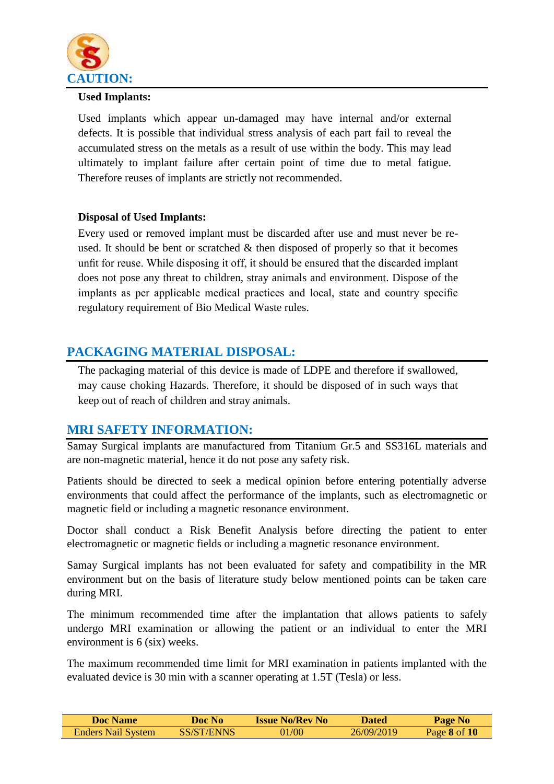

#### **Used Implants:**

Used implants which appear un-damaged may have internal and/or external defects. It is possible that individual stress analysis of each part fail to reveal the accumulated stress on the metals as a result of use within the body. This may lead ultimately to implant failure after certain point of time due to metal fatigue. Therefore reuses of implants are strictly not recommended.

#### **Disposal of Used Implants:**

Every used or removed implant must be discarded after use and must never be reused. It should be bent or scratched  $\&$  then disposed of properly so that it becomes unfit for reuse. While disposing it off, it should be ensured that the discarded implant does not pose any threat to children, stray animals and environment. Dispose of the implants as per applicable medical practices and local, state and country specific regulatory requirement of Bio Medical Waste rules.

# **PACKAGING MATERIAL DISPOSAL:**

The packaging material of this device is made of LDPE and therefore if swallowed, may cause choking Hazards. Therefore, it should be disposed of in such ways that keep out of reach of children and stray animals.

# **MRI SAFETY INFORMATION:**

Samay Surgical implants are manufactured from Titanium Gr.5 and SS316L materials and are non-magnetic material, hence it do not pose any safety risk.

Patients should be directed to seek a medical opinion before entering potentially adverse environments that could affect the performance of the implants, such as electromagnetic or magnetic field or including a magnetic resonance environment.

Doctor shall conduct a Risk Benefit Analysis before directing the patient to enter electromagnetic or magnetic fields or including a magnetic resonance environment.

Samay Surgical implants has not been evaluated for safety and compatibility in the MR environment but on the basis of literature study below mentioned points can be taken care during MRI.

The minimum recommended time after the implantation that allows patients to safely undergo MRI examination or allowing the patient or an individual to enter the MRI environment is 6 (six) weeks.

The maximum recommended time limit for MRI examination in patients implanted with the evaluated device is 30 min with a scanner operating at 1.5T (Tesla) or less.

| Doc Name                  | Doc No     | <b>Issue No/Rev No</b> | <b>Dated</b> | <b>Page No</b>   |
|---------------------------|------------|------------------------|--------------|------------------|
| <b>Enders Nail System</b> | SS/ST/ENNS | 01/00                  | 26/09/2019   | Page $8$ of $10$ |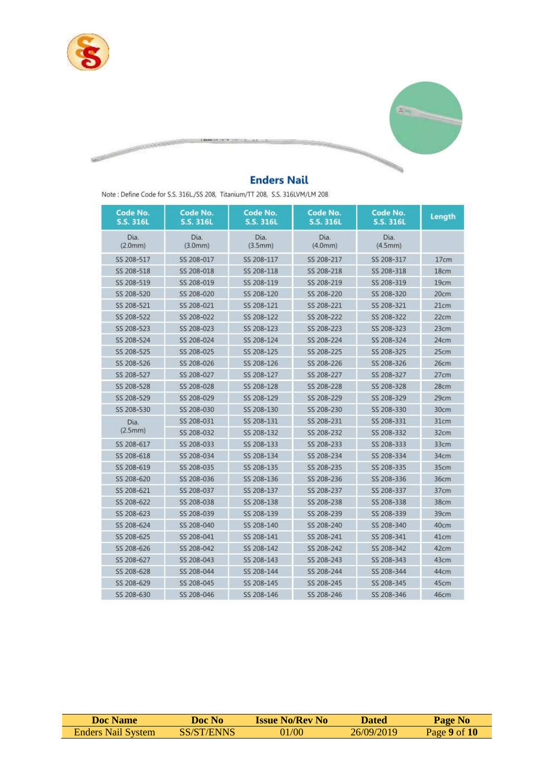

**Marian Company of the American State** 



# **Enders Nail**

Note : Define Code for S.S. 316L/SS 208, Titanium/TT 208, S.S. 316LVM/LM 208

| Code No.<br><b>S.S. 316L</b> | Code No.<br>S.S. 316L | Code No.<br><b>S.S. 316L</b> | Code No.<br>S.S. 316L | Code No.<br><b>S.S. 316L</b> | Length |
|------------------------------|-----------------------|------------------------------|-----------------------|------------------------------|--------|
| Dia.<br>(2.0mm)              | Dia.<br>(3.0mm)       | Dia.<br>(3.5mm)              | Dia.<br>(4.0mm)       | Dia.<br>(4.5mm)              |        |
| SS 208-517                   | SS 208-017            | SS 208-117                   | SS 208-217            | SS 208-317                   | 17cm   |
| SS 208-518                   | SS 208-018            | SS 208-118                   | SS 208-218            | SS 208-318                   | 18cm   |
| SS 208-519                   | SS 208-019            | SS 208-119                   | SS 208-219            | SS 208-319                   | 19cm   |
| SS 208-520                   | SS 208-020            | SS 208-120                   | SS 208-220            | SS 208-320                   | 20cm   |
| SS 208-521                   | SS 208-021            | SS 208-121                   | SS 208-221            | SS 208-321                   | 21cm   |
| SS 208-522                   | SS 208-022            | SS 208-122                   | SS 208-222            | SS 208-322                   | 22cm   |
| SS 208-523                   | SS 208-023            | SS 208-123                   | SS 208-223            | SS 208-323                   | 23cm   |
| SS 208-524                   | 55 208-024            | SS 208-124                   | SS 208-224            | SS 208-324                   | 24cm   |
| SS 208-525                   | SS 208-025            | SS 208-125                   | SS 208-225            | SS 208-325                   | 25cm   |
| SS 208-526                   | SS 208-026            | SS 208-126                   | SS 208-226            | SS 208-326                   | 26cm   |
| SS 208-527                   | SS 208-027            | SS 208-127                   | SS 208-227            | SS 208-327                   | 27cm   |
| SS 208-528                   | SS 208-028            | SS 208-128                   | SS 208-228            | SS 208-328                   | 28cm   |
| SS 208-529                   | SS 208-029            | SS 208-129                   | SS 208-229            | SS 208-329                   | 29cm   |
| SS 208-530                   | SS 208-030            | SS 208-130                   | SS 208-230            | SS 208-330                   | 30cm   |
| Dia.                         | SS 208-031            | SS 208-131                   | SS 208-231            | SS 208-331                   | 31cm   |
| (2.5mm)                      | SS 208-032            | SS 208-132                   | SS 208-232            | SS 208-332                   | 32cm   |
| SS 208-617                   | SS 208-033            | SS 208-133                   | SS 208-233            | SS 208-333                   | 33cm   |
| SS 208-618                   | SS 208-034            | SS 208-134                   | SS 208-234            | SS 208-334                   | 34cm   |
| SS 208-619                   | SS 208-035            | SS 208-135                   | SS 208-235            | SS 208-335                   | 35cm   |
| SS 208-620                   | SS 208-036            | SS 208-136                   | SS 208-236            | SS 208-336                   | 36cm   |
| SS 208-621                   | SS 208-037            | SS 208-137                   | SS 208-237            | SS 208-337                   | 37cm   |
| SS 208-622                   | SS 208-038            | SS 208-138                   | 55 208-238            | SS 208-338                   | 38cm   |
| SS 208-623                   | SS 208-039            | SS 208-139                   | SS 208-239            | SS 208-339                   | 39cm   |
| SS 208-624                   | SS 208-040            | SS 208-140                   | SS 208-240            | SS 208-340                   | 40cm   |
| SS 208-625                   | SS 208-041            | SS 208-141                   | SS 208-241            | SS 208-341                   | 41cm   |
| SS 208-626                   | SS 208-042            | SS 208-142                   | SS 208-242            | SS 208-342                   | 42cm   |
| SS 208-627                   | SS 208-043            | SS 208-143                   | SS 208-243            | SS 208-343                   | 43cm   |
| SS 208-628                   | SS 208-044            | SS 208-144                   | SS 208-244            | SS 208-344                   | 44cm   |
| SS 208-629                   | SS 208-045            | SS 208-145                   | SS 208-245            | SS 208-345                   | 45cm   |
| SS 208-630                   | SS 208-046            | SS 208-146                   | SS 208-246            | SS 208-346                   | 46cm   |

| <b>Doc Name</b>           | Doc No .   | <b>Issue No/Rev No</b> | Dated      | <b>Page No</b>   |
|---------------------------|------------|------------------------|------------|------------------|
| <b>Enders Nail System</b> | SS/ST/ENNS | 01/00                  | 26/09/2019 | Page $9$ of $10$ |